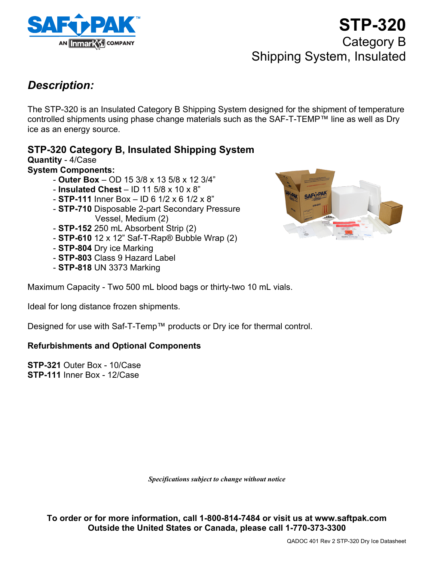

# **STP-320** Category B Shipping System, Insulated

### *Description:*

The STP-320 is an Insulated Category B Shipping System designed for the shipment of temperature controlled shipments using phase change materials such as the SAF-T-TEMP™ line as well as Dry ice as an energy source.

### **STP-320 Category B, Insulated Shipping System**

**Quantity** - 4/Case **System Components:** 

- **Outer Box**  OD 15 3/8 x 13 5/8 x 12 3/4"
- **Insulated Chest**  ID 11 5/8 x 10 x 8"
- **STP-111** Inner Box ID 6 1/2 x 6 1/2 x 8"
- **STP-710** Disposable 2-part Secondary Pressure Vessel, Medium (2)
- **STP-152** 250 mL Absorbent Strip (2)
- **STP-610** 12 x 12" Saf-T-Rap® Bubble Wrap (2)
- **STP-804** Dry ice Marking
- **STP-803** Class 9 Hazard Label
- **STP-818** UN 3373 Marking



Maximum Capacity - Two 500 mL blood bags or thirty-two 10 mL vials.

Ideal for long distance frozen shipments.

Designed for use with Saf-T-Temp™ products or Dry ice for thermal control.

#### **Refurbishments and Optional Components**

**STP-321** Outer Box - 10/Case **STP-111** Inner Box - 12/Case

*Specifications subject to change without notice*

**To order or for more information, call 1-800-814-7484 or visit us at www.saftpak.com Outside the United States or Canada, please call 1-770-373-3300**